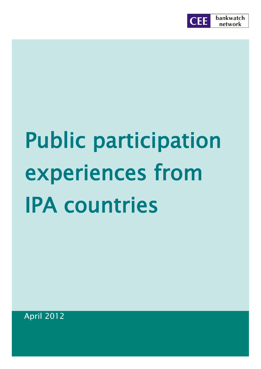

# Public participation experiences from IPA countries

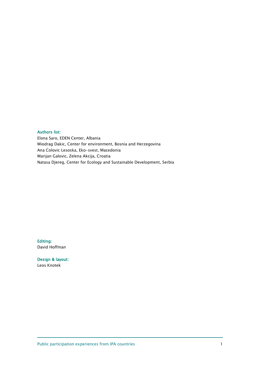#### Authors list:

Elona Saro, EDEN Center, Albania Miodrag Dakic, Center for environment, Bosnia and Herzegovina Ana Colovic Lesoska, Eko-svest, Macedonia Marijan Galovic, Zelena Akcija, Croatia Natasa Djereg, Center for Ecology and Sustainable Development, Serbia

Editing: David Hoffman

Design & layout: Leos Knotek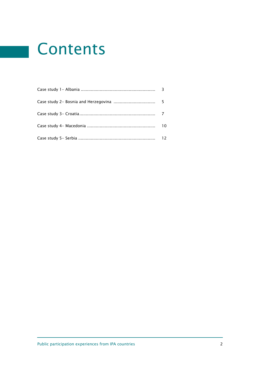# Contents

| 10 |
|----|
|    |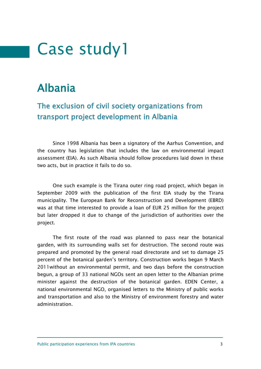### Albania

#### The exclusion of civil society organizations from transport project development in Albania

Since 1998 Albania has been a signatory of the Aarhus Convention, and the country has legislation that includes the law on environmental impact assessment (EIA). As such Albania should follow procedures laid down in these two acts, but in practice it fails to do so.

One such example is the Tirana outer ring road project, which began in September 2009 with the publication of the first EIA study by the Tirana municipality. The European Bank for Reconstruction and Development (EBRD) was at that time interested to provide a loan of EUR 25 million for the project but later dropped it due to change of the jurisdiction of authorities over the project.

The first route of the road was planned to pass near the botanical garden, with its surrounding walls set for destruction. The second route was prepared and promoted by the general road directorate and set to damage 25 percent of the botanical garden's territory. Construction works began 9 March 2011without an environmental permit, and two days before the construction begun, a group of 33 national NGOs sent an open letter to the Albanian prime minister against the destruction of the botanical garden. EDEN Center, a national environmental NGO, organised letters to the Ministry of public works and transportation and also to the Ministry of environment forestry and water administration.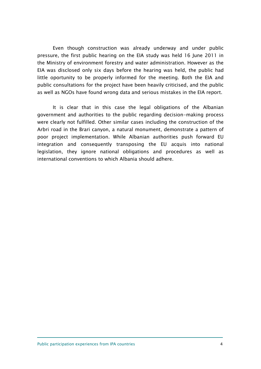Even though construction was already underway and under public pressure, the first public hearing on the EIA study was held 16 June 2011 in the Ministry of environment forestry and water administration. However as the EIA was disclosed only six days before the hearing was held, the public had little oportunity to be properly informed for the meeting. Both the EIA and public consultations for the project have been heavily criticised, and the public as well as NGOs have found wrong data and serious mistakes in the EIA report.

It is clear that in this case the legal obligations of the Albanian government and authorities to the public regarding decision-making process were clearly not fulfilled. Other similar cases including the construction of the Arbri road in the Brari canyon, a natural monument, demonstrate a pattern of poor project implementation. While Albanian authorities push forward EU integration and consequently transposing the EU acquis into national legislation, they ignore national obligations and procedures as well as international conventions to which Albania should adhere.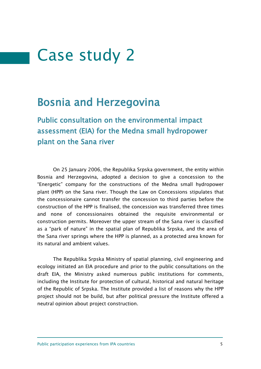#### Bosnia and Herzegovina

Public consultation on the environmental impact assessment (EIA) for the Medna small hydropower plant on the Sana river

On 25 January 2006, the Republika Srpska government, the entity within Bosnia and Herzegovina, adopted a decision to give a concession to the "Energetic" company for the constructions of the Medna small hydropower plant (HPP) on the Sana river. Though the Law on Concessions stipulates that the concessionaire cannot transfer the concession to third parties before the construction of the HPP is finalised, the concession was transferred three times and none of concessionaires obtained the requisite environmental or construction permits. Moreover the upper stream of the Sana river is classified as a "park of nature" in the spatial plan of Republika Srpska, and the area of the Sana river springs where the HPP is planned, as a protected area known for its natural and ambient values.

The Republika Srpska Ministry of spatial planning, civil engineering and ecology initiated an EIA procedure and prior to the public consultations on the draft EIA, the Ministry asked numerous public institutions for comments, including the Institute for protection of cultural, historical and natural heritage of the Republic of Srpska. The Institute provided a list of reasons why the HPP project should not be build, but after political pressure the Institute offered a neutral opinion about project construction.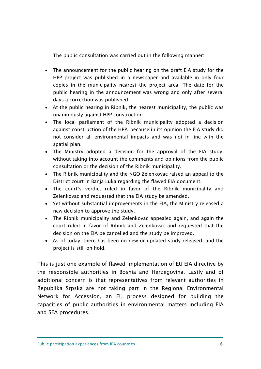The public consultation was carried out in the following manner:

- The announcement for the public hearing on the draft EIA study for the HPP project was published in a newspaper and available in only four copies in the municipality nearest the project area. The date for the public hearing in the announcement was wrong and only after several days a correction was published.
- At the public hearing in Ribnik, the nearest municipality, the public was unanimously against HPP construction.
- The local parliament of the Ribnik municipality adopted a decision against construction of the HPP, because in its opinion the EIA study did not consider all environmental impacts and was not in line with the spatial plan.
- The Ministry adopted a decision for the approval of the EIA study, without taking into account the comments and opinions from the public consultation or the decision of the Ribnik municipality.
- The Ribnik municipality and the NGO Zelenkovac raised an appeal to the District court in Banja Luka regarding the flawed EIA document.
- The court's verdict ruled in favor of the Ribnik municipality and Zelenkovac and requested that the EIA study be amended.
- Yet without substantial improvements in the EIA, the Ministry released a new decision to approve the study.
- The Ribnik municipality and Zelenkovac appealed again, and again the court ruled in favor of Ribnik and Zelenkovac and requested that the decision on the EIA be cancelled and the study be improved.
- As of today, there has been no new or updated study released, and the project is still on hold.

This is just one example of flawed implementation of EU EIA directive by the responsible authorities in Bosnia and Herzegovina. Lastly and of additional concern is that representatives from relevant authorities in Republika Srpska are not taking part in the Regional Environmental Network for Accession, an EU process designed for building the capacities of public authorities in environmental matters including EIA and SEA procedures.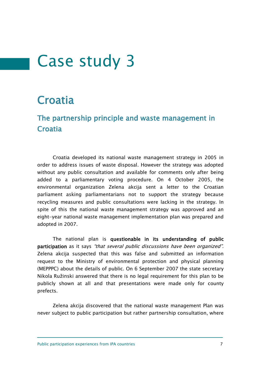### **Croatia**

#### The partnership principle and waste management in **Croatia**

Croatia developed its national waste management strategy in 2005 in order to address issues of waste disposal. However the strategy was adopted without any public consultation and available for comments only after being added to a parliamentary voting procedure. On 4 October 2005, the environmental organization Zelena akcija sent a letter to the Croatian parliament asking parliamentarians not to support the strategy because recycling measures and public consultations were lacking in the strategy. In spite of this the national waste management strategy was approved and an eight-year national waste management implementation plan was prepared and adopted in 2007.

The national plan is questionable in its understanding of public participation as it says "that several public discussions have been organized". Zelena akcija suspected that this was false and submitted an information request to the Ministry of environmental protection and physical planning (MEPPPC) about the details of public. On 6 September 2007 the state secretary Nikola Ružinski answered that there is no legal requirement for this plan to be publicly shown at all and that presentations were made only for county prefects.

Zelena akcija discovered that the national waste management Plan was never subject to public participation but rather partnership consultation, where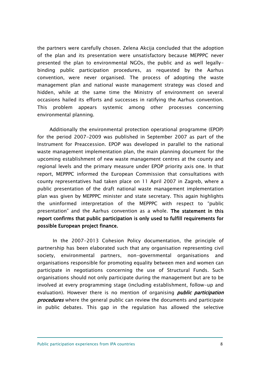the partners were carefully chosen. Zelena Akcija concluded that the adoption of the plan and its presentation were unsatisfactory because MEPPPC never presented the plan to environmental NGOs, the public and as well legallybinding public participation procedures, as requested by the Aarhus convention, were never organised. The process of adopting the waste management plan and national waste management strategy was closed and hidden, while at the same time the Ministry of environment on several occasions hailed its efforts and successes in ratifying the Aarhus convention. This problem appears systemic among other processes concerning environmental planning.

Additionally the environmental protection operational programme (EPOP) for the period 2007-2009 was published in September 2007 as part of the Instrument for Preaccession. EPOP was developed in parallel to the national waste management implementation plan, the main planning document for the upcoming establishment of new waste management centres at the county and regional levels and the primary measure under EPOP priority axis one. In that report, MEPPPC informed the European Commission that consultations with county representatives had taken place on 11 April 2007 in Zagreb, where a public presentation of the draft national waste management implementation plan was given by MEPPPC minister and state secretary. This again highlights the uninformed interpretation of the MEPPPC with respect to "public presentation" and the Aarhus convention as a whole. The statement in this report confirms that public participation is only used to fulfill requirements for possible European project finance.

In the 2007-2013 Cohesion Policy documentation, the principle of partnership has been elaborated such that any organisation representing civil society, environmental partners, non-governmental organisations and organisations responsible for promoting equality between men and women can participate in negotiations concerning the use of Structural Funds. Such organisations should not only participate during the management but are to be involved at every programming stage (including establishment, follow-up and evaluation). However there is no mention of organising *public participation* **procedures** where the general public can review the documents and participate in public debates. This gap in the regulation has allowed the selective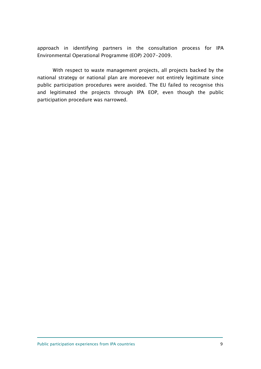approach in identifying partners in the consultation process for IPA Environmental Operational Programme (EOP) 2007-2009.

With respect to waste management projects, all projects backed by the national strategy or national plan are moreoever not entirely legitimate since public participation procedures were avoided. The EU failed to recognise this and legitimated the projects through IPA EOP, even though the public participation procedure was narrowed.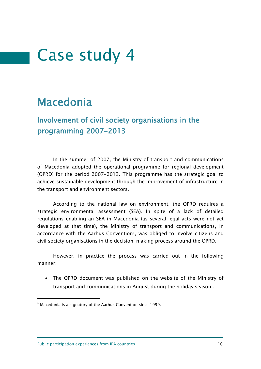### Macedonia

Involvement of civil society organisations in the programming 2007-2013

In the summer of 2007, the Ministry of transport and communications of Macedonia adopted the operational programme for regional development (OPRD) for the period 2007-2013. This programme has the strategic goal to achieve sustainable development through the improvement of infrastructure in the transport and environment sectors.

According to the national law on environment, the OPRD requires a strategic environmental assessment (SEA). In spite of a lack of detailed regulations enabling an SEA in Macedonia (as several legal acts were not yet developed at that time), the Ministry of transport and communications, in accordance with the Aarhus Convention<sup>1</sup>, was obliged to involve citizens and civil society organisations in the decision-making process around the OPRD.

However, in practice the process was carried out in the following manner:

 The OPRD document was published on the website of the Ministry of transport and communications in August during the holiday season;.

1

 $1$  Macedonia is a signatory of the Aarhus Convention since 1999.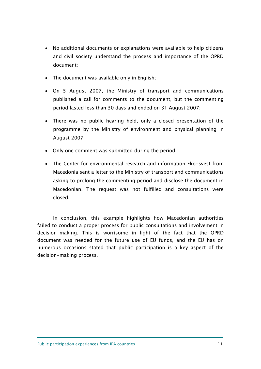- No additional documents or explanations were available to help citizens and civil society understand the process and importance of the OPRD document;
- The document was available only in English;
- On 5 August 2007, the Ministry of transport and communications published a call for comments to the document, but the commenting period lasted less than 30 days and ended on 31 August 2007;
- There was no public hearing held, only a closed presentation of the programme by the Ministry of environment and physical planning in August 2007;
- Only one comment was submitted during the period;
- The Center for environmental research and information Eko-svest from Macedonia sent a letter to the Ministry of transport and communications asking to prolong the commenting period and disclose the document in Macedonian. The request was not fulfilled and consultations were closed.

In conclusion, this example highlights how Macedonian authorities failed to conduct a proper process for public consultations and involvement in decision-making. This is worrisome in light of the fact that the OPRD document was needed for the future use of EU funds, and the EU has on numerous occasions stated that public participation is a key aspect of the decision-making process.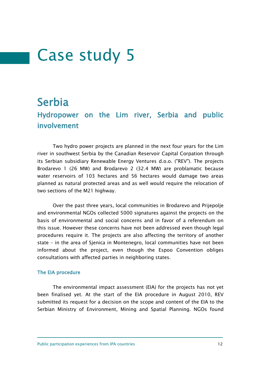#### Serbia

#### Hydropower on the Lim river, Serbia and public involvement

Two hydro power projects are planned in the next four years for the Lim river in southwest Serbia by the Canadian Reservoir Capital Corpation through its Serbian subsidiary Renewable Energy Ventures d.o.o. ("REV"). The projects Brodarevo 1 (26 MW) and Brodarevo 2 (32.4 MW) are problamatic because water reservoirs of 103 hectares and 56 hectares would damage two areas planned as natural protected areas and as well would require the relocation of two sections of the M21 highway.

Over the past three years, local communities in Brodarevo and Prijepolje and environmental NGOs collected 5000 signatures against the projects on the basis of environmental and social concerns and in favor of a referendum on this issue. However these concerns have not been addressed even though legal procedures require it. The projects are also affecting the territory of another state – in the area of Sjenica in Montenegro, local communities have not been informed about the project, even though the Espoo Convention obliges consultations with affected parties in neighboring states.

#### The EIA procedure

The environmental impact assessment (EIA) for the projects has not yet been finalised yet. At the start of the EIA procedure in August 2010, REV submitted its request for a decision on the scope and content of the EIA to the Serbian Ministry of Environment, Mining and Spatial Planning. NGOs found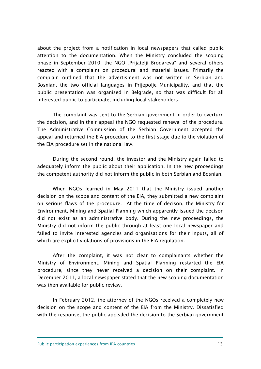about the project from a notification in local newspapers that called public attention to the documentation. When the Ministry concluded the scoping phase in September 2010, the NGO "Prijatelji Brodareva" and several others reacted with a complaint on procedural and material issues. Primarily the complain outlined that the advertisment was not written in Serbian and Bosnian, the two official languages in Prijepolje Municipality, and that the public presentation was organised in Belgrade, so that was difficult for all interested public to participate, including local stakeholders.

The complaint was sent to the Serbian government in order to overturn the decision, and in their appeal the NGO requested renewal of the procedure. The Administrative Commission of the Serbian Government accepted the appeal and returned the EIA procedure to the first stage due to the violation of the EIA procedure set in the national law.

During the second round, the investor and the Ministry again failed to adequately inform the public about their application. In the new proceedings the competent authority did not inform the public in both Serbian and Bosnian.

When NGOs learned in May 2011 that the Ministry issued another decision on the scope and content of the EIA, they submitted a new complaint on serious flaws of the procedure. At the time of decison, the Ministry for Environment, Mining and Spatial Planning which apparently issued the decison did not exist as an administrative body. During the new proceedings, the Ministry did not inform the public through at least one local newspaper and failed to invite interested agencies and organisations for their inputs, all of which are explicit violations of provisions in the EIA regulation.

After the complaint, it was not clear to complainants whether the Ministry of Environment, Mining and Spatial Planning restarted the EIA procedure, since they never received a decision on their complaint. In December 2011, a local newspaper stated that the new scoping documentation was then available for public review.

In February 2012, the attorney of the NGOs received a completely new decision on the scope and content of the EIA from the Ministry. Dissatisfied with the response, the public appealed the decision to the Serbian government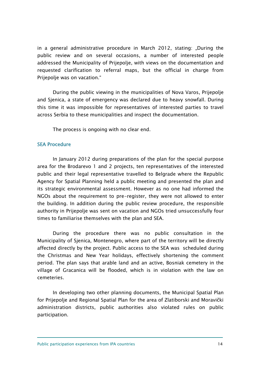in a general administrative procedure in March 2012, stating: "During the public review and on several occasions, a number of interested people addressed the Municipality of Prijepolje, with views on the documentation and requested clarification to referral maps, but the official in charge from Prijepolje was on vacation."

During the public viewing in the municipalities of Nova Varos, Prijepolje and Sjenica, a state of emergency was declared due to heavy snowfall. During this time it was impossible for representatives of interested parties to travel across Serbia to these municipalities and inspect the documentation.

The process is ongoing with no clear end.

#### SEA Procedure

In January 2012 during preparations of the plan for the special purpose area for the Brodarevo 1 and 2 projects, ten representatives of the interested public and their legal representative travelled to Belgrade where the Republic Agency for Spatial Planning held a public meeting and presented the plan and its strategic environmental assessment. However as no one had informed the NGOs about the requirement to pre-register, they were not allowed to enter the building. In addition during the public review procedure, the responsible authority in Prijepolje was sent on vacation and NGOs tried unsuccessfully four times to familiarise themselves with the plan and SEA.

During the procedure there was no public consultation in the Municipality of Sjenica, Montenegro, where part of the territory will be directly affected directly by the project. Public access to the SEA was scheduled during the Christmas and New Year holidays, effectively shortening the comment period. The plan says that arable land and an active, Bosniak cemetery in the village of Gracanica will be flooded, which is in violation with the law on cemeteries.

In developing two other planning documents, the Municipal Spatial Plan for Prijepolje and Regional Spatial Plan for the area of Zlatiborski and Moravički administration districts, public authorities also violated rules on public participation.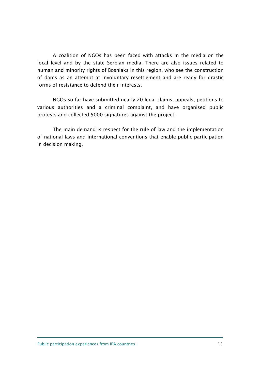A coalition of NGOs has been faced with attacks in the media on the local level and by the state Serbian media. There are also issues related to human and minority rights of Bosniaks in this region, who see the construction of dams as an attempt at involuntary resettlement and are ready for drastic forms of resistance to defend their interests.

NGOs so far have submitted nearly 20 legal claims, appeals, petitions to various authorities and a criminal complaint, and have organised public protests and collected 5000 signatures against the project.

The main demand is respect for the rule of law and the implementation of national laws and international conventions that enable public participation in decision making.